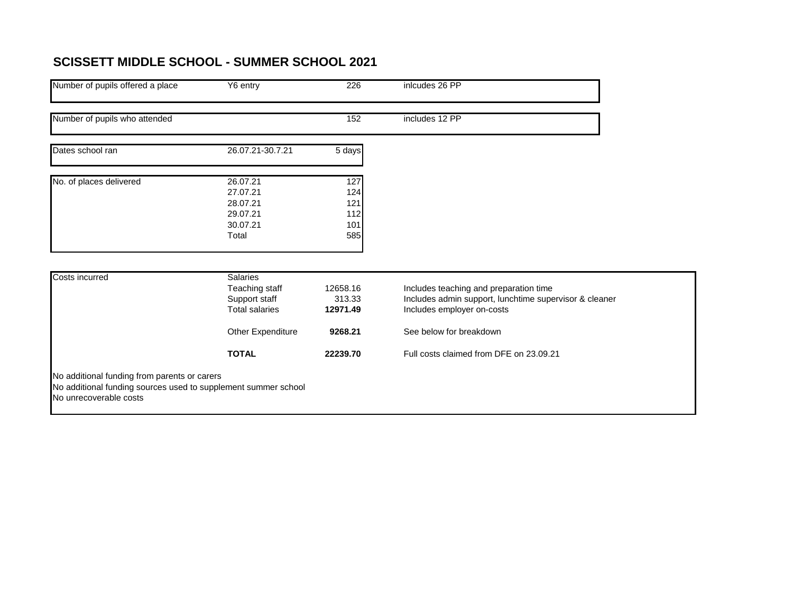## **SCISSETT MIDDLE SCHOOL - SUMMER SCHOOL 2021**

| Number of pupils offered a place                                                                                                         | Y6 entry                                                                    | 226                                    | inlcudes 26 PP                                                                                                                 |  |
|------------------------------------------------------------------------------------------------------------------------------------------|-----------------------------------------------------------------------------|----------------------------------------|--------------------------------------------------------------------------------------------------------------------------------|--|
| Number of pupils who attended                                                                                                            |                                                                             | 152                                    | includes 12 PP                                                                                                                 |  |
| Dates school ran                                                                                                                         | 26.07.21-30.7.21                                                            | 5 days                                 |                                                                                                                                |  |
| No. of places delivered                                                                                                                  | 26.07.21<br>27.07.21<br>28.07.21<br>29.07.21<br>30.07.21<br>Total           | 127<br>124<br>121<br>112<br>101<br>585 |                                                                                                                                |  |
| Costs incurred                                                                                                                           | <b>Salaries</b><br>Teaching staff<br>Support staff<br><b>Total salaries</b> | 12658.16<br>313.33<br>12971.49         | Includes teaching and preparation time<br>Includes admin support, lunchtime supervisor & cleaner<br>Includes employer on-costs |  |
|                                                                                                                                          | Other Expenditure                                                           | 9268.21                                | See below for breakdown                                                                                                        |  |
|                                                                                                                                          | <b>TOTAL</b>                                                                | 22239.70                               | Full costs claimed from DFE on 23.09.21                                                                                        |  |
| No additional funding from parents or carers<br>No additional funding sources used to supplement summer school<br>No unrecoverable costs |                                                                             |                                        |                                                                                                                                |  |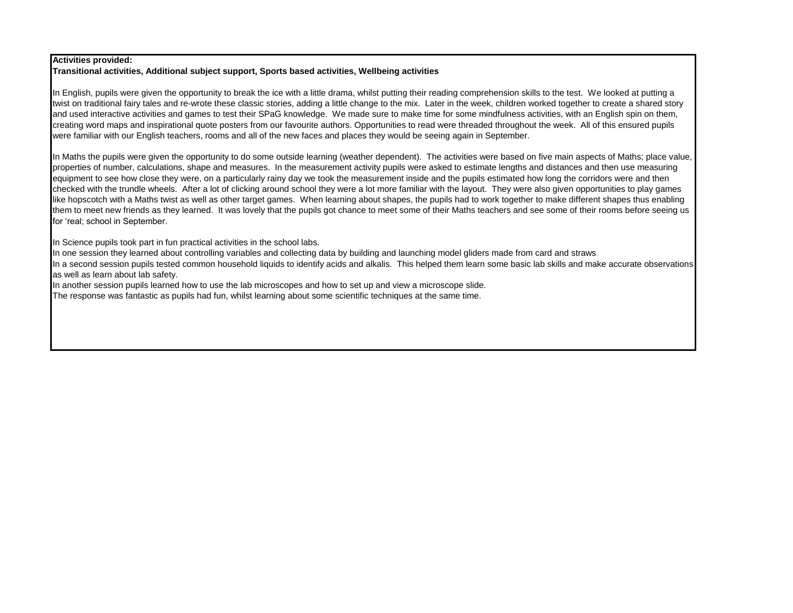## **Activities provided:**

## **Transitional activities, Additional subject support, Sports based activities, Wellbeing activities**

In English, pupils were given the opportunity to break the ice with a little drama, whilst putting their reading comprehension skills to the test. We looked at putting a twist on traditional fairy tales and re-wrote these classic stories, adding a little change to the mix. Later in the week, children worked together to create a shared story and used interactive activities and games to test their SPaG knowledge. We made sure to make time for some mindfulness activities, with an English spin on them, creating word maps and inspirational quote posters from our favourite authors. Opportunities to read were threaded throughout the week. All of this ensured pupils were familiar with our English teachers, rooms and all of the new faces and places they would be seeing again in September.

In Maths the pupils were given the opportunity to do some outside learning (weather dependent). The activities were based on five main aspects of Maths; place value, properties of number, calculations, shape and measures. In the measurement activity pupils were asked to estimate lengths and distances and then use measuring equipment to see how close they were, on a particularly rainy day we took the measurement inside and the pupils estimated how long the corridors were and then checked with the trundle wheels. After a lot of clicking around school they were a lot more familiar with the layout. They were also given opportunities to play games like hopscotch with a Maths twist as well as other target games. When learning about shapes, the pupils had to work together to make different shapes thus enabling them to meet new friends as they learned. It was lovely that the pupils got chance to meet some of their Maths teachers and see some of their rooms before seeing us for 'real; school in September.

In Science pupils took part in fun practical activities in the school labs.

In one session they learned about controlling variables and collecting data by building and launching model gliders made from card and straws

In a second session pupils tested common household liquids to identify acids and alkalis. This helped them learn some basic lab skills and make accurate observations as well as learn about lab safety.

In another session pupils learned how to use the lab microscopes and how to set up and view a microscope slide.

The response was fantastic as pupils had fun, whilst learning about some scientific techniques at the same time.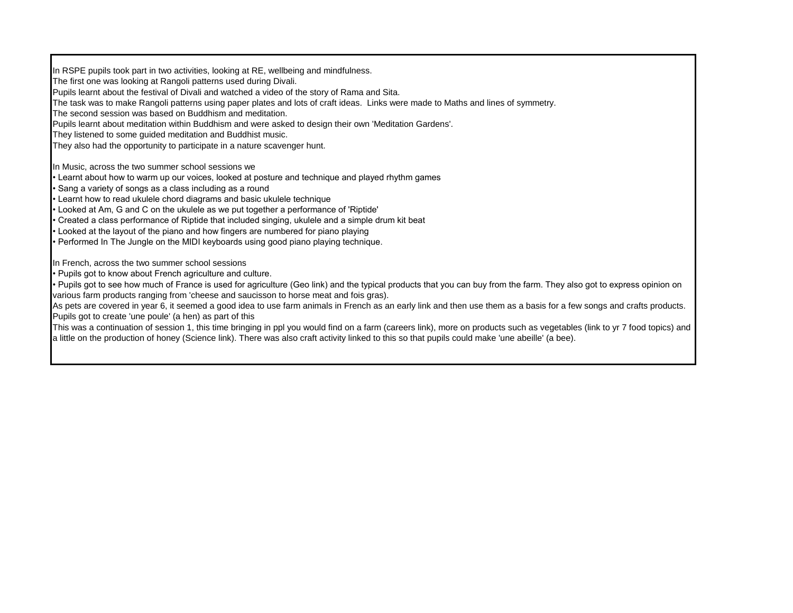In RSPE pupils took part in two activities, looking at RE, wellbeing and mindfulness. The first one was looking at Rangoli patterns used during Divali. Pupils learnt about the festival of Divali and watched a video of the story of Rama and Sita. The task was to make Rangoli patterns using paper plates and lots of craft ideas. Links were made to Maths and lines of symmetry. The second session was based on Buddhism and meditation. Pupils learnt about meditation within Buddhism and were asked to design their own 'Meditation Gardens'. They listened to some guided meditation and Buddhist music. They also had the opportunity to participate in a nature scavenger hunt. In Music, across the two summer school sessions we • Learnt about how to warm up our voices, looked at posture and technique and played rhythm games • Sang a variety of songs as a class including as a round • Learnt how to read ukulele chord diagrams and basic ukulele technique • Looked at Am, G and C on the ukulele as we put together a performance of 'Riptide' • Created a class performance of Riptide that included singing, ukulele and a simple drum kit beat • Looked at the layout of the piano and how fingers are numbered for piano playing • Performed In The Jungle on the MIDI keyboards using good piano playing technique. In French, across the two summer school sessions • Pupils got to know about French agriculture and culture. • Pupils got to see how much of France is used for agriculture (Geo link) and the typical products that you can buy from the farm. They also got to express opinion on various farm products ranging from 'cheese and saucisson to horse meat and fois gras). As pets are covered in year 6, it seemed a good idea to use farm animals in French as an early link and then use them as a basis for a few songs and crafts products. Pupils got to create 'une poule' (a hen) as part of this This was a continuation of session 1, this time bringing in ppl you would find on a farm (careers link), more on products such as vegetables (link to yr 7 food topics) and a little on the production of honey (Science link). There was also craft activity linked to this so that pupils could make 'une abeille' (a bee).